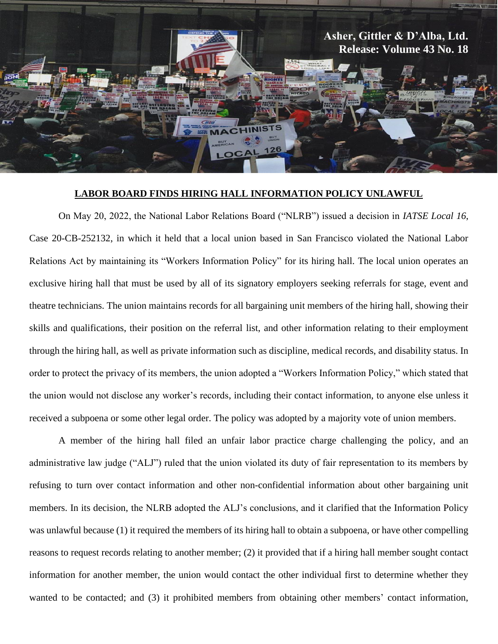

## **LABOR BOARD FINDS HIRING HALL INFORMATION POLICY UNLAWFUL**

On May 20, 2022, the National Labor Relations Board ("NLRB") issued a decision in *IATSE Local 16*, Case 20-CB-252132, in which it held that a local union based in San Francisco violated the National Labor Relations Act by maintaining its "Workers Information Policy" for its hiring hall. The local union operates an exclusive hiring hall that must be used by all of its signatory employers seeking referrals for stage, event and theatre technicians. The union maintains records for all bargaining unit members of the hiring hall, showing their skills and qualifications, their position on the referral list, and other information relating to their employment through the hiring hall, as well as private information such as discipline, medical records, and disability status. In order to protect the privacy of its members, the union adopted a "Workers Information Policy," which stated that the union would not disclose any worker's records, including their contact information, to anyone else unless it received a subpoena or some other legal order. The policy was adopted by a majority vote of union members.

A member of the hiring hall filed an unfair labor practice charge challenging the policy, and an administrative law judge ("ALJ") ruled that the union violated its duty of fair representation to its members by refusing to turn over contact information and other non-confidential information about other bargaining unit members. In its decision, the NLRB adopted the ALJ's conclusions, and it clarified that the Information Policy was unlawful because (1) it required the members of its hiring hall to obtain a subpoena, or have other compelling reasons to request records relating to another member; (2) it provided that if a hiring hall member sought contact information for another member, the union would contact the other individual first to determine whether they wanted to be contacted; and (3) it prohibited members from obtaining other members' contact information,